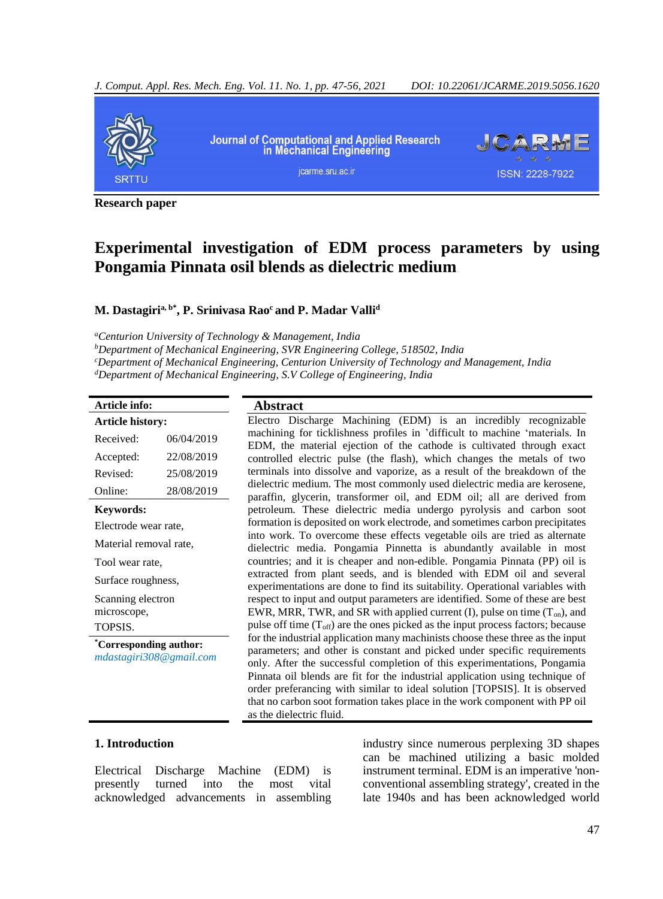*J. Comput. Appl. Res. Mech. Eng. Vol. 11. No. 1, pp. 47-56, 2021 DOI: 10.22061/JCARME.2019.5056.1620*



**Research paper**

# **Experimental investigation of EDM process parameters by using Pongamia Pinnata osil blends as dielectric medium**

#### **M. Dastagiria, b\* , P. Srinivasa Rao<sup>c</sup> and P. Madar Valli<sup>d</sup>**

*<sup>a</sup>Centurion University of Technology & Management, India*

*<sup>b</sup>Department of Mechanical Engineering, SVR Engineering College, 518502, India <sup>c</sup>Department of Mechanical Engineering, Centurion University of Technology and Management, India <sup>d</sup>Department of Mechanical Engineering, S.V College of Engineering, India*

#### **Article info: Abstract**

| <b>Article history:</b> |            |  |  |  |
|-------------------------|------------|--|--|--|
| Received:               | 06/04/2019 |  |  |  |
| Accepted:               | 22/08/2019 |  |  |  |
| Revised <sup>.</sup>    | 25/08/2019 |  |  |  |
| Online:                 | 28/08/2019 |  |  |  |
| Keywords:               |            |  |  |  |
| Electrode wear rate,    |            |  |  |  |
| Material removal rate,  |            |  |  |  |
| Tool wear rate,         |            |  |  |  |
| Surface roughness,      |            |  |  |  |
| Scanning electron       |            |  |  |  |
| microscope,             |            |  |  |  |
| <b>TOPSIS.</b>          |            |  |  |  |
| *Corresponding author:  |            |  |  |  |
| mdastagiri308@gmail.com |            |  |  |  |

Electro Discharge Machining (EDM) is an incredibly recognizable machining for ticklishness profiles in 'difficult to machine 'materials. In EDM, the material ejection of the cathode is cultivated through exact controlled electric pulse (the flash), which changes the metals of two terminals into dissolve and vaporize, as a result of the breakdown of the dielectric medium. The most commonly used dielectric media are kerosene, paraffin, glycerin, transformer oil, and EDM oil; all are derived from petroleum. These dielectric media undergo pyrolysis and carbon soot formation is deposited on work electrode, and sometimes carbon precipitates into work. To overcome these effects vegetable oils are tried as alternate dielectric media. Pongamia Pinnetta is abundantly available in most countries; and it is cheaper and non-edible. Pongamia Pinnata (PP) oil is extracted from plant seeds, and is blended with EDM oil and several experimentations are done to find its suitability. Operational variables with respect to input and output parameters are identified. Some of these are best EWR, MRR, TWR, and SR with applied current (I), pulse on time  $(T_{on})$ , and pulse off time  $(T<sub>off</sub>)$  are the ones picked as the input process factors; because for the industrial application many machinists choose these three as the input parameters; and other is constant and picked under specific requirements only. After the successful completion of this experimentations, Pongamia Pinnata oil blends are fit for the industrial application using technique of order preferancing with similar to ideal solution [TOPSIS]. It is observed that no carbon soot formation takes place in the work component with PP oil as the dielectric fluid.

#### **1. Introduction**

Electrical Discharge Machine (EDM) is presently turned into the most vital acknowledged advancements in assembling industry since numerous perplexing 3D shapes can be machined utilizing a basic molded instrument terminal. EDM is an imperative 'nonconventional assembling strategy', created in the late 1940s and has been acknowledged world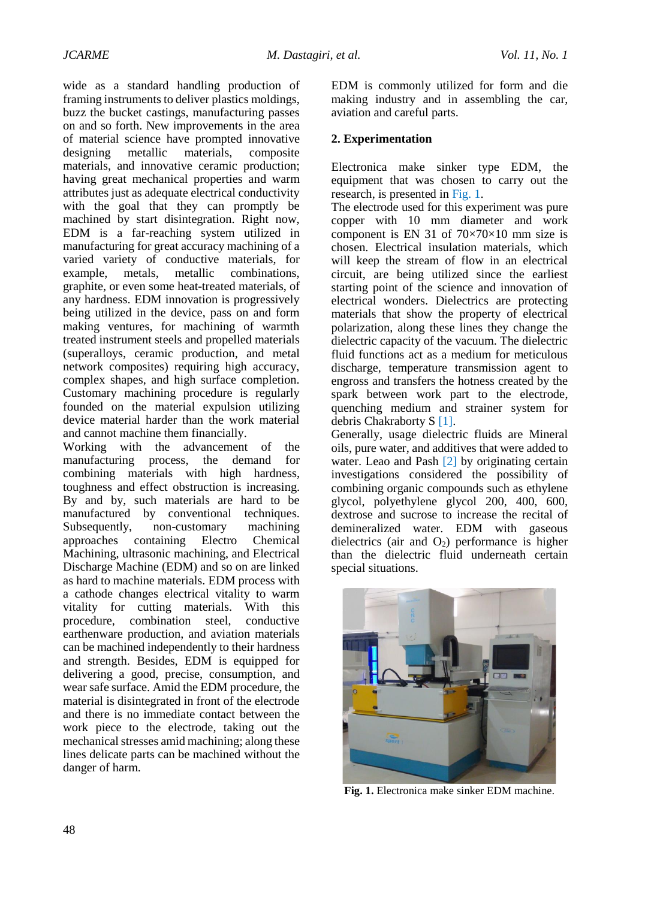wide as a standard handling production of framing instruments to deliver plastics moldings, buzz the bucket castings, manufacturing passes on and so forth. New improvements in the area of material science have prompted innovative designing metallic materials, composite materials, and innovative ceramic production; having great mechanical properties and warm attributes just as adequate electrical conductivity with the goal that they can promptly be machined by start disintegration. Right now, EDM is a far-reaching system utilized in manufacturing for great accuracy machining of a varied variety of conductive materials, for example, metals, metallic combinations, graphite, or even some heat-treated materials, of any hardness. EDM innovation is progressively being utilized in the device, pass on and form making ventures, for machining of warmth treated instrument steels and propelled materials (superalloys, ceramic production, and metal network composites) requiring high accuracy, complex shapes, and high surface completion. Customary machining procedure is regularly founded on the material expulsion utilizing device material harder than the work material and cannot machine them financially.

Working with the advancement of the manufacturing process, the demand for combining materials with high hardness, toughness and effect obstruction is increasing. By and by, such materials are hard to be manufactured by conventional techniques. Subsequently, non-customary machining approaches containing Electro Chemical Machining, ultrasonic machining, and Electrical Discharge Machine (EDM) and so on are linked as hard to machine materials. EDM process with a cathode changes electrical vitality to warm vitality for cutting materials. With this procedure, combination steel, conductive earthenware production, and aviation materials can be machined independently to their hardness and strength. Besides, EDM is equipped for delivering a good, precise, consumption, and wear safe surface. Amid the EDM procedure, the material is disintegrated in front of the electrode and there is no immediate contact between the work piece to the electrode, taking out the mechanical stresses amid machining; along these lines delicate parts can be machined without the danger of harm.

EDM is commonly utilized for form and die making industry and in assembling the car, aviation and careful parts.

## **2. Experimentation**

Electronica make sinker type EDM, the equipment that was chosen to carry out the research, is presented in [Fig.](#page-1-0) 1.

The electrode used for this experiment was pure copper with 10 mm diameter and work component is EN 31 of  $70\times70\times10$  mm size is chosen. Electrical insulation materials, which will keep the stream of flow in an electrical circuit, are being utilized since the earliest starting point of the science and innovation of electrical wonders. Dielectrics are protecting materials that show the property of electrical polarization, along these lines they change the dielectric capacity of the vacuum. The dielectric fluid functions act as a medium for meticulous discharge, temperature transmission agent to engross and transfers the hotness created by the spark between work part to the electrode, quenching medium and strainer system for debris Chakraborty S [\[1\].](#page-7-0)

Generally, usage dielectric fluids are Mineral oils, pure water, and additives that were added to water. Leao and Pash [\[2\]](#page-7-1) by originating certain investigations considered the possibility of combining organic compounds such as ethylene glycol, polyethylene glycol 200, 400, 600, dextrose and sucrose to increase the recital of demineralized water. EDM with gaseous dielectrics (air and  $O_2$ ) performance is higher than the dielectric fluid underneath certain special situations.

<span id="page-1-0"></span>

**Fig. 1.** Electronica make sinker EDM machine.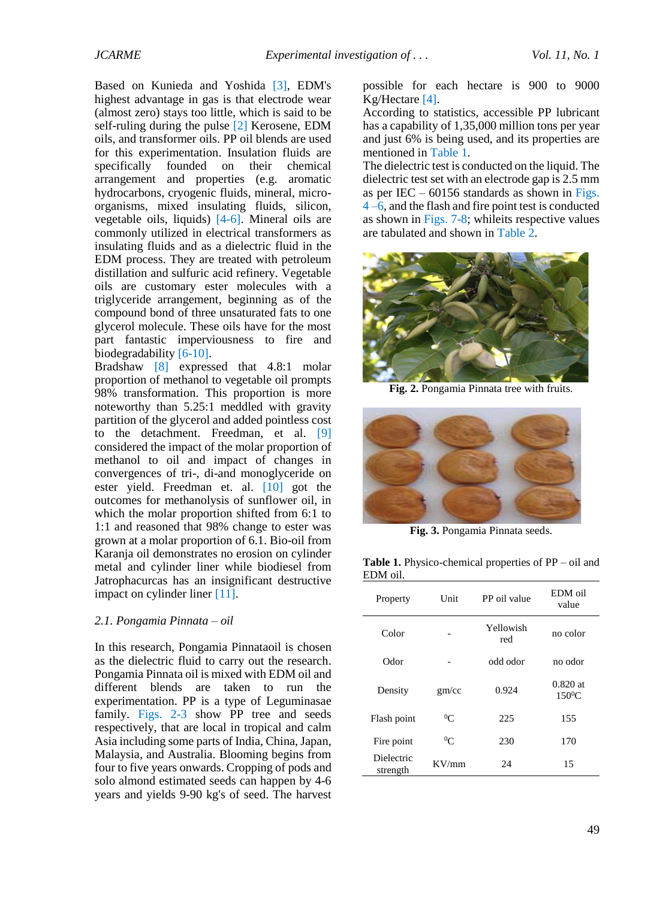Based on Kunieda and Yoshida [\[3\],](#page-7-2) EDM's highest advantage in gas is that electrode wear (almost zero) stays too little, which is said to be self-ruling during the pulse [\[2\]](#page-7-1) Kerosene, EDM oils, and transformer oils. PP oil blends are used for this experimentation. Insulation fluids are specifically founded on their chemical arrangement and properties (e.g. aromatic hydrocarbons, cryogenic fluids, mineral, microorganisms, mixed insulating fluids, silicon, vegetable oils, liquids) [\[4-](#page-7-3)[6\].](#page-7-4) Mineral oils are commonly utilized in electrical transformers as insulating fluids and as a dielectric fluid in the EDM process. They are treated with petroleum distillation and sulfuric acid refinery. Vegetable oils are customary ester molecules with a triglyceride arrangement, beginning as of the compound bond of three unsaturated fats to one glycerol molecule. These oils have for the most part fantastic imperviousness to fire and biodegradability [\[6](#page-7-4)[-10\].](#page-7-5)

Bradshaw [\[8\]](#page-7-6) expressed that 4.8:1 molar proportion of methanol to vegetable oil prompts 98% transformation. This proportion is more noteworthy than 5.25:1 meddled with gravity partition of the glycerol and added pointless cost to the detachment. Freedman, et al. [\[9\]](#page-7-7) considered the impact of the molar proportion of methanol to oil and impact of changes in convergences of tri-, di-and monoglyceride on ester yield. Freedman et. al. [\[10\]](#page-7-5) got the outcomes for methanolysis of sunflower oil, in which the molar proportion shifted from 6:1 to 1:1 and reasoned that 98% change to ester was grown at a molar proportion of 6.1. Bio-oil from Karanja oil demonstrates no erosion on cylinder metal and cylinder liner while biodiesel from Jatrophacurcas has an insignificant destructive impact on cylinder liner [\[11\].](#page-8-0)

#### *2.1. Pongamia Pinnata – oil*

In this research, Pongamia Pinnataoil is chosen as the dielectric fluid to carry out the research. Pongamia Pinnata oil is mixed with EDM oil and different blends are taken to run the experimentation. PP is a type of Leguminasae family. [Figs. 2](#page-2-0)[-3](#page-2-1) show PP tree and seeds respectively, that are local in tropical and calm Asia including some parts of India, China, Japan, Malaysia, and Australia. Blooming begins from four to five years onwards. Cropping of pods and solo almond estimated seeds can happen by 4-6 years and yields 9-90 kg's of seed. The harvest possible for each hectare is 900 to 9000 Kg/Hectare [\[4\].](#page-7-3)

According to statistics, accessible PP lubricant has a capability of 1,35,000 million tons per year and just 6% is being used, and its properties are mentioned in [Table 1.](#page-2-2)

The dielectric test is conducted on the liquid. The dielectric test set with an electrode gap is 2.5 mm as per IEC –  $60156$  standards as shown in Figs. [4](#page-3-0) [–6,](#page-3-1) and the flash and fire point test is conducted as shown i[n Figs. 7](#page-3-2)[-8;](#page-3-3) whileits respective values are tabulated and shown i[n Table 2.](#page-3-4)



**Fig. 2.** Pongamia Pinnata tree with fruits.

<span id="page-2-0"></span>

**Fig. 3.** Pongamia Pinnata seeds.

<span id="page-2-2"></span><span id="page-2-1"></span>**Table 1.** Physico-chemical properties of PP – oil and EDM oil.

| Property               | Unit      | PP oil value     | EDM oil<br>value        |
|------------------------|-----------|------------------|-------------------------|
| Color                  |           | Yellowish<br>red | no color                |
| Odor                   |           | odd odor         | no odor                 |
| Density                | gm/cc     | 0.924            | $0.820$ at<br>$150^0$ C |
| Flash point            | ${}^{0}C$ | 225              | 155                     |
| Fire point             | ${}^{0}C$ | 230              | 170                     |
| Dielectric<br>strength | KV/mm     | 24               | 15                      |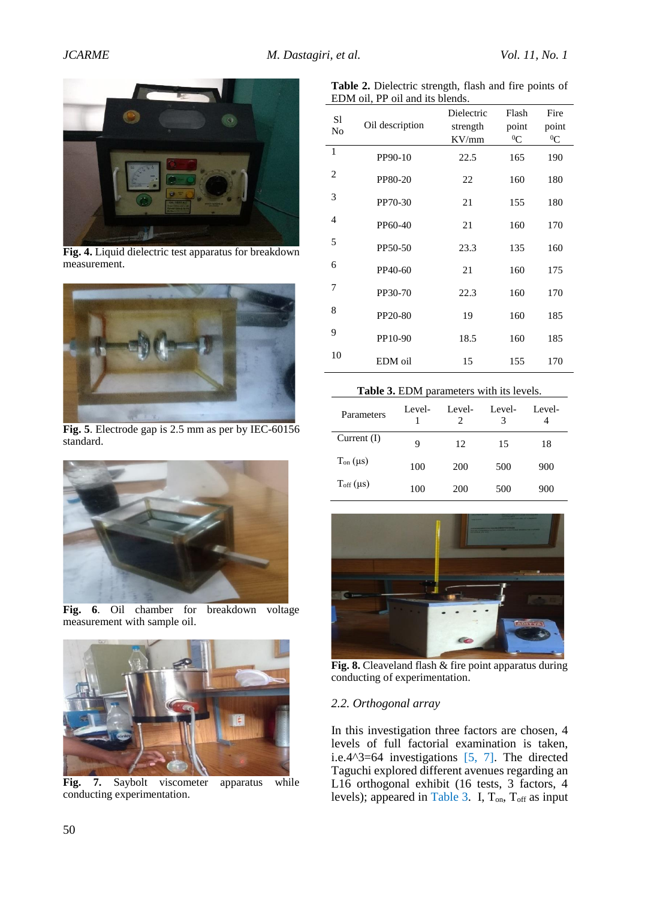

**Fig. 4.** Liquid dielectric test apparatus for breakdown measurement.

<span id="page-3-0"></span>

**Fig. 5**. Electrode gap is 2.5 mm as per by IEC-60156 standard.



**Fig. 6**. Oil chamber for breakdown voltage measurement with sample oil.

<span id="page-3-2"></span><span id="page-3-1"></span>

Fig. 7. Saybolt viscometer apparatus while conducting experimentation.

<span id="page-3-4"></span>

| Table 2. Dielectric strength, flash and fire points of |  |  |  |
|--------------------------------------------------------|--|--|--|
| EDM oil, PP oil and its blends.                        |  |  |  |

| S1<br>N <sub>o</sub> | Oil description | Dielectric<br>strength<br>KV/mm | Flash<br>point<br>${}^{0}C$ | Fire<br>point<br>${}^{0}C$ |
|----------------------|-----------------|---------------------------------|-----------------------------|----------------------------|
| $\mathbf{1}$         | PP90-10         | 22.5                            | 165                         | 190                        |
| 2                    | PP80-20         | 22                              | 160                         | 180                        |
| 3                    | PP70-30         | 21                              | 155                         | 180                        |
| 4                    | PP60-40         | 21                              | 160                         | 170                        |
| 5                    | PP50-50         | 23.3                            | 135                         | 160                        |
| 6                    | PP40-60         | 21                              | 160                         | 175                        |
| 7                    | PP30-70         | 22.3                            | 160                         | 170                        |
| 8                    | PP20-80         | 19                              | 160                         | 185                        |
| 9                    | PP10-90         | 18.5                            | 160                         | 185                        |
| 10                   | EDM oil         | 15                              | 155                         | 170                        |

#### Table 3. EDM parameters with its levels.

| Parameters           | Level- | Level- | Level- | Level- |
|----------------------|--------|--------|--------|--------|
| Current $(I)$        | 9      | 12     | 15     | 18     |
| $T_{on}(\mu s)$      | 100    | 200    | 500    | 900    |
| $T_{\rm off}(\mu s)$ | 100    | 200    | 500    | 900    |



**Fig. 8.** Cleaveland flash & fire point apparatus during conducting of experimentation.

## <span id="page-3-3"></span>*2.2. Orthogonal array*

In this investigation three factors are chosen, 4 levels of full factorial examination is taken, i.e.4^3=64 investigations [\[5,](#page-7-8) [7\].](#page-7-9) The directed Taguchi explored different avenues regarding an L16 orthogonal exhibit (16 tests, 3 factors, 4 levels); appeared in Table 3. I,  $T_{on}$ ,  $T_{off}$  as input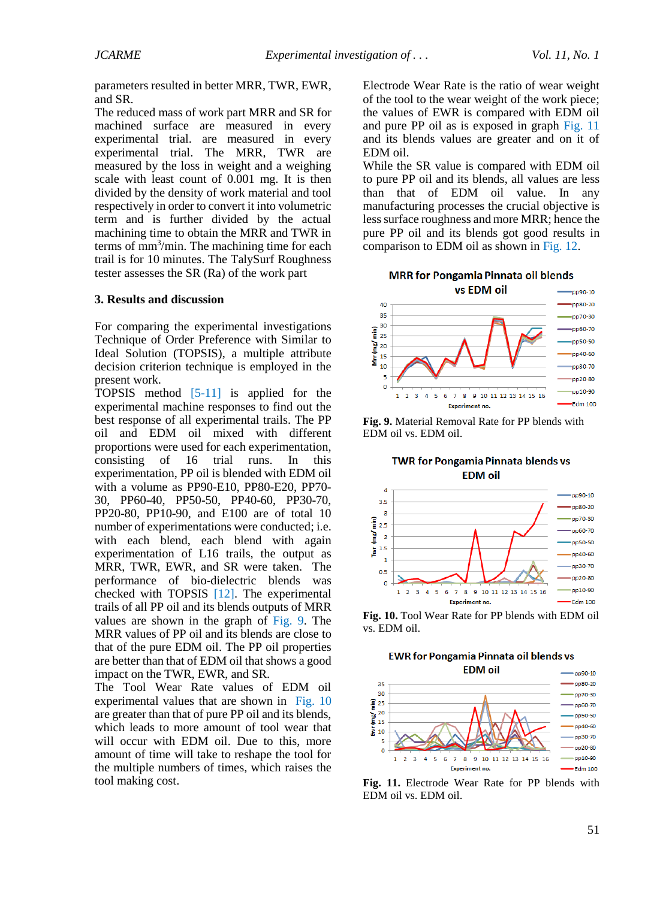parameters resulted in better MRR, TWR, EWR, and SR.

The reduced mass of work part MRR and SR for machined surface are measured in every experimental trial. are measured in every experimental trial. The MRR, TWR are measured by the loss in weight and a weighing scale with least count of 0.001 mg. It is then divided by the density of work material and tool respectively in order to convert it into volumetric term and is further divided by the actual machining time to obtain the MRR and TWR in terms of mm<sup>3</sup> /min. The machining time for each trail is for 10 minutes. The TalySurf Roughness tester assesses the SR (Ra) of the work part

#### **3. Results and discussion**

For comparing the experimental investigations Technique of Order Preference with Similar to Ideal Solution (TOPSIS), a multiple attribute decision criterion technique is employed in the present work.

TOPSIS method [\[5-](#page-7-8)[11\]](#page-8-0) is applied for the experimental machine responses to find out the best response of all experimental trails. The PP oil and EDM oil mixed with different proportions were used for each experimentation, consisting of 16 trial runs. In this experimentation, PP oil is blended with EDM oil with a volume as PP90-E10, PP80-E20, PP70- 30, PP60-40, PP50-50, PP40-60, PP30-70, PP20-80, PP10-90, and E100 are of total 10 number of experimentations were conducted; i.e. with each blend, each blend with again experimentation of L16 trails, the output as MRR, TWR, EWR, and SR were taken. The performance of bio-dielectric blends was checked with TOPSIS [\[12\].](#page-7-10) The experimental trails of all PP oil and its blends outputs of MRR values are shown in the graph of [Fig.](#page-4-0) 9. The MRR values of PP oil and its blends are close to that of the pure EDM oil. The PP oil properties are better than that of EDM oil that shows a good impact on the TWR, EWR, and SR.

The Tool Wear Rate values of EDM oil experimental values that are shown in [Fig. 10](#page-4-1) are greater than that of pure PP oil and its blends, which leads to more amount of tool wear that will occur with EDM oil. Due to this, more amount of time will take to reshape the tool for the multiple numbers of times, which raises the tool making cost.

Electrode Wear Rate is the ratio of wear weight of the tool to the wear weight of the work piece; the values of EWR is compared with EDM oil and pure PP oil as is exposed in graph [Fig. 11](#page-4-2) and its blends values are greater and on it of EDM oil.

While the SR value is compared with EDM oil to pure PP oil and its blends, all values are less than that of EDM oil value. In any manufacturing processes the crucial objective is less surface roughness and more MRR; hence the pure PP oil and its blends got good results in comparison to EDM oil as shown i[n Fig. 12.](#page-5-0)



<span id="page-4-0"></span>**Fig. 9.** Material Removal Rate for PP blends with EDM oil vs. EDM oil.

**TWR for Pongamia Pinnata blends vs EDM** oil



<span id="page-4-1"></span>**Fig. 10.** Tool Wear Rate for PP blends with EDM oil vs. EDM oil.

**EWR for Pongamia Pinnata oil blends vs** 



<span id="page-4-2"></span>**Fig. 11.** Electrode Wear Rate for PP blends with EDM oil vs. EDM oil.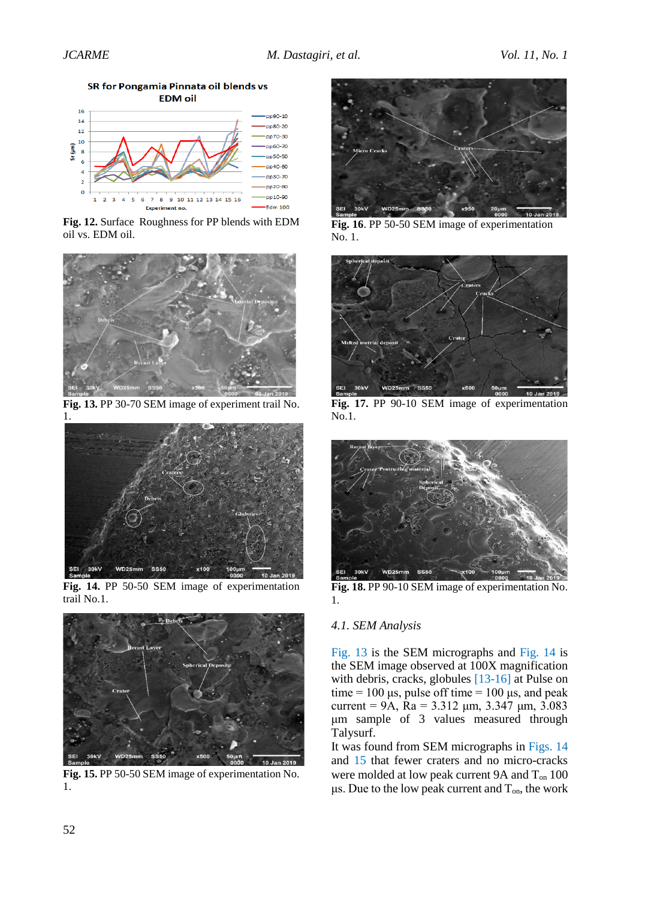Edm 100

**EDM** oil  $16$  $n90-10$  $14$ pp80-20  $12$ pp70-30  $10$ pp60-70  $s_{r}(\mu m)$  $\overline{\mathbf{r}}$ pp50-50 pp40-60 pp30-70 pp20-80  $\circ$ pp10-90 8 9 10 11 12 13 14 15 16  $\overline{7}$ 

SR for Pongamia Pinnata oil blends vs

<span id="page-5-0"></span>**Fig. 12.** Surface Roughness for PP blends with EDM oil vs. EDM oil.



**Fig. 13.** PP 30-70 SEM image of experiment trail No. 1.



**Fig. 14.** PP 50-50 SEM image of experimentation trail No.1.

<span id="page-5-1"></span>

**Fig. 15.** PP 50-50 SEM image of experimentation No. 1.



**Fig. 16**. PP 50-50 SEM image of experimentation No. 1.



**Fig. 17.** PP 90-10 SEM image of experimentation No.1.

<span id="page-5-2"></span>

**Fig. 18.** PP 90-10 SEM image of experimentation No. 1.

## <span id="page-5-3"></span>*4.1. SEM Analysis*

Fig. 13 is the SEM micrographs and Fig. 14 is the SEM image observed at 100X magnification [with deb](#page-5-0)ris, cracks, globules [13-16] [at Pulse o](#page-5-1)n time =  $100 \mu s$ , pulse off time =  $100 \mu s$ , and peak current = 9A,  $\bar{R}a$  = 3.312  $\mu$ [m, 3](#page-7-11)[.347](#page-7-12)  $\mu$ m, 3.083 μm sample of 3 values measured through Talysurf.

It was found from SEM micrographs in Figs. 14 and 15 that fewer craters and no micro-cracks were molded at low peak current 9A and T<sub>on</sub> 100 μs. [Due](#page-7-13) to the low peak current and  $T_{on}$ , the work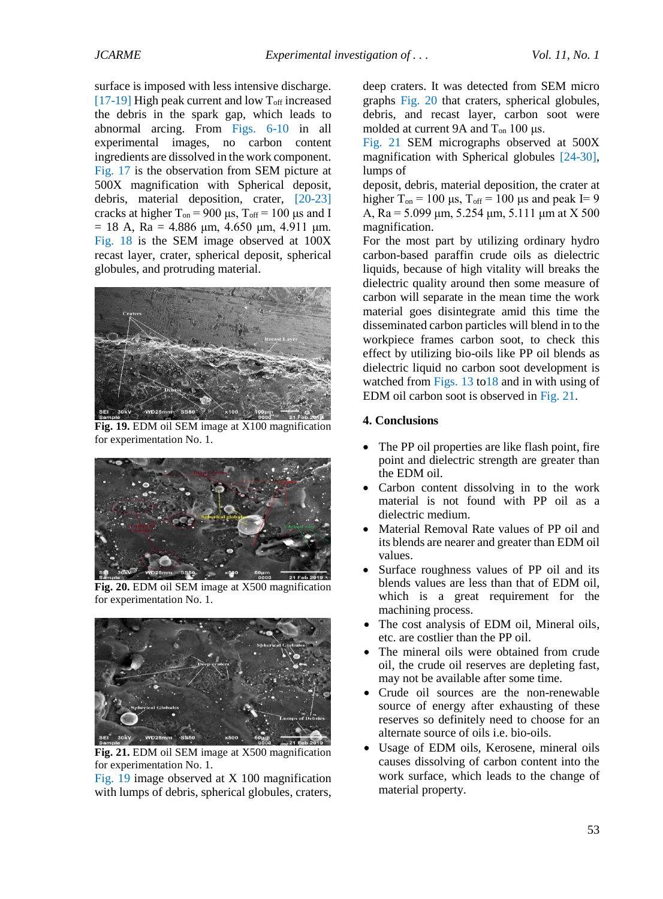surface is imposed with less intensive discharge. [17-19] High peak current and low  $T_{\text{off}}$  increased the debris in the spark gap, which leads to [abnorma](#page-8-1)l arcing. From Figs. 6-10 in all experimental images, no carbon content ingredients are dissolved in [the work](#page-3-1) [com](#page-4-1)ponent. Fig. 17 is the observation from SEM picture at 500X magnification with Spherical deposit, [debris,](#page-5-2) material deposition, crater, [20-23] cracks at higher  $T_{on}$  = 900 μs,  $T_{off}$  = 100 μs and I  $= 18$  A, Ra = 4.886 μm, 4.650 μm, 4.911 μm. Fig. 18 is the SEM image observed at 100X recast layer, crater, spherical deposit, spherical [globules](#page-5-3), and protruding material.



**Fig. 19.** EDM oil SEM image at X100 magnification for experimentation No. 1.

<span id="page-6-0"></span>

**Fig. 20.** EDM oil SEM image at X500 magnification for experimentation No. 1.

<span id="page-6-1"></span>

**Fig. 21.** EDM oil SEM image at X500 magnification for experimentation No. 1.

<span id="page-6-2"></span>Fig. 19 image observed at X 100 magnification with lumps of debris, spherical globules, craters,

[deep cra](#page-6-0)ters. It was detected from SEM micro graphs Fig. 20 that craters, spherical globules, debris, and recast layer, carbon soot were molde[d at curre](#page-6-1)nt 9A and  $T_{on}$  100 μs.

Fig. 21 SEM micrographs observed at 500X magnification with Spherical globules [24-30], [lumps of](#page-6-2)

deposit, debris, material deposition, the [crat](#page-8-3)[er at](#page-8-4) higher T<sub>on</sub> = 100 μs, T<sub>off</sub> = 100 μs and peak I= 9 A, Ra =  $5.099 \mu m$ ,  $5.254 \mu m$ ,  $5.111 \mu m$  at X 500 magnification.

For the most part by utilizing ordinary hydro carbon-based paraffin crude oils as dielectric liquids, because of high vitality will breaks the dielectric quality around then some measure of carbon will separate in the mean time the work material goes disintegrate amid this time the disseminated carbon particles will blend in to the workpiece frames carbon soot, to check this effect by utilizing bio-oils like PP oil blends as dielectric liquid no carbon soot development is watched from Figs. 13 to18 and in with using of EDM oil carbon soot is observed in Fig. 21.

## **4. Conclusio[ns](#page-5-0)**

- The PP oil properties are like flash point, fire point and dielectric strength are greater than the EDM oil.
- Carbon content dissolving in to the work material is not found with PP oil as a dielectric medium.
- Material Removal Rate values of PP oil and its blends are nearer and greater than EDM oil values.
- Surface roughness values of PP oil and its blends values are less than that of EDM oil, which is a great requirement for the machining process.
- The cost analysis of EDM oil, Mineral oils, etc. are costlier than the PP oil.
- The mineral oils were obtained from crude oil, the crude oil reserves are depleting fast, may not be available after some time.
- Crude oil sources are the non-renewable source of energy after exhausting of these reserves so definitely need to choose for an alternate source of oils i.e. bio-oils.
- Usage of EDM oils, Kerosene, mineral oils causes dissolving of carbon content into the work surface, which leads to the change of material property.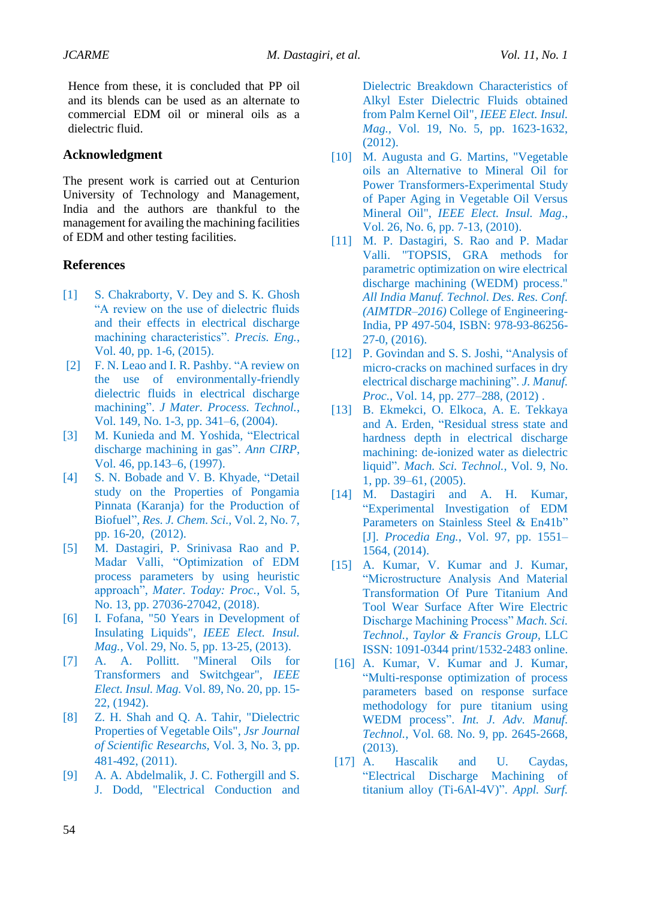Hence from these, it is concluded that PP oil and its blends can be used as an alternate to commercial EDM oil or mineral oils as a dielectric fluid.

## **Acknowledgment**

The present work is carried out at Centurion University of Technology and Management, India and the authors are thankful to the management for availing the machining facilities of EDM and other testing facilities.

## **References**

- <span id="page-7-0"></span>[1] S. Chakraborty, V. Dey and S. K. Ghosh "A review on the use of dielectric fluids and their effects in electrical discharge machining characteristics". *Precis. Eng.*, Vol. 40, pp. 1-6, (2015).
- <span id="page-7-1"></span>[2] F. N. Leao and I. R. Pashby. "A review on the use of environmentally-friendly dielectric fluids in electrical discharge machining". *J Mater. Process. Technol.*, Vol. 149, No. 1-3, pp. 341–6, (2004).
- [3] M. Kunieda and M. Yoshida, "Electrical discharge machining in gas". *Ann CIRP*, Vol. 46, pp.143–6, (1997).
- <span id="page-7-3"></span><span id="page-7-2"></span>[4] S. N. Bobade and V. B. Khyade, "Detail study on the Properties of Pongamia Pinnata (Karanja) for the Production of Biofuel", *Res. J. Chem. Sci.,* Vol. 2, No. 7, pp. 16-20, (2012).
- <span id="page-7-8"></span>[5] M. Dastagiri, P. Srinivasa Rao and P. Madar Valli, "Optimization of EDM process parameters by using heuristic approach", *Mater. Today: Proc.,* Vol. 5, No. 13, pp. 27036-27042, (2018).
- [6] I. Fofana, "50 Years in Development of Insulating Liquids", *IEEE Elect. Insul. Mag.,* Vol. 29, No. 5, pp. 13-25, (2013).
- <span id="page-7-9"></span><span id="page-7-4"></span>[7] A. A. Pollitt. "Mineral Oils for Transformers and Switchgear", *IEEE Elect. Insul. Mag.* Vol. 89, No. 20, pp. 15- 22, (1942).
- <span id="page-7-6"></span>[8] Z. H. Shah and Q. A. Tahir, "Dielectric Properties of Vegetable Oils", *Jsr Journal of Scientific Researchs,* Vol. 3, No. 3, pp. 481-492, (2011).
- [9] A. A. Abdelmalik, J. C. Fothergill and S. J. Dodd, "Electrical Conduction and

<span id="page-7-7"></span>Dielectric Breakdown Characteristics of Alkyl Ester Dielectric Fluids obtained from Palm Kernel Oil", *IEEE Elect. Insul. Mag.,* Vol. 19, No. 5, pp. 1623-1632, (2012).

- <span id="page-7-5"></span>[10] M. Augusta and G. Martins, "Vegetable oils an Alternative to Mineral Oil for Power Transformers-Experimental Study of Paper Aging in Vegetable Oil Versus Mineral Oil", *IEEE Elect. Insul. Mag*., Vol. 26, No. 6, pp. 7-13, (2010).
- [11] M. P. Dastagiri, S. Rao and P. Madar Valli. "TOPSIS, GRA methods for parametric optimization on wire electrical discharge machining (WEDM) process." *All India Manuf. Technol. Des. Res. Conf. (AIMTDR–2016)* College of Engineering-India, PP 497-504, ISBN: 978-93-86256- 27-0, (2016).
- <span id="page-7-10"></span>[12] P. Govindan and S. S. Joshi, "Analysis of micro-cracks on machined surfaces in dry electrical discharge machining". *J. Manuf. Proc.*, Vol. 14, pp. 277–288, (2012) .
- <span id="page-7-11"></span>[13] B. Ekmekci, O. Elkoca, A. E. Tekkaya and A. Erden, "Residual stress state and hardness depth in electrical discharge machining: de-ionized water as dielectric liquid". *Mach. Sci. Technol.*, Vol. 9, No. 1, pp. 39–61, (2005).
- [14] M. Dastagiri and A. H. Kumar, "Experimental Investigation of EDM Parameters on Stainless Steel & En41b" [J]. *Procedia Eng.*, Vol. 97, pp. 1551– 1564, (2014).
- <span id="page-7-13"></span>[15] A. Kumar, V. Kumar and J. Kumar, "Microstructure Analysis And Material Transformation Of Pure Titanium And Tool Wear Surface After Wire Electric Discharge Machining Process" *Mach. Sci. Technol., Taylor & Francis Group,* LLC ISSN: 1091-0344 print/1532-2483 online.
- <span id="page-7-12"></span>[16] A. Kumar, V. Kumar and J. Kumar, "Multi-response optimization of process parameters based on response surface methodology for pure titanium using WEDM process". *Int. J. Adv. Manuf. Technol.*, Vol. 68. No. 9, pp. 2645-2668, (2013).
- [17] A. Hascalik and U. Caydas, "Electrical Discharge Machining of titanium alloy (Ti-6Al-4V)". *Appl. Surf.*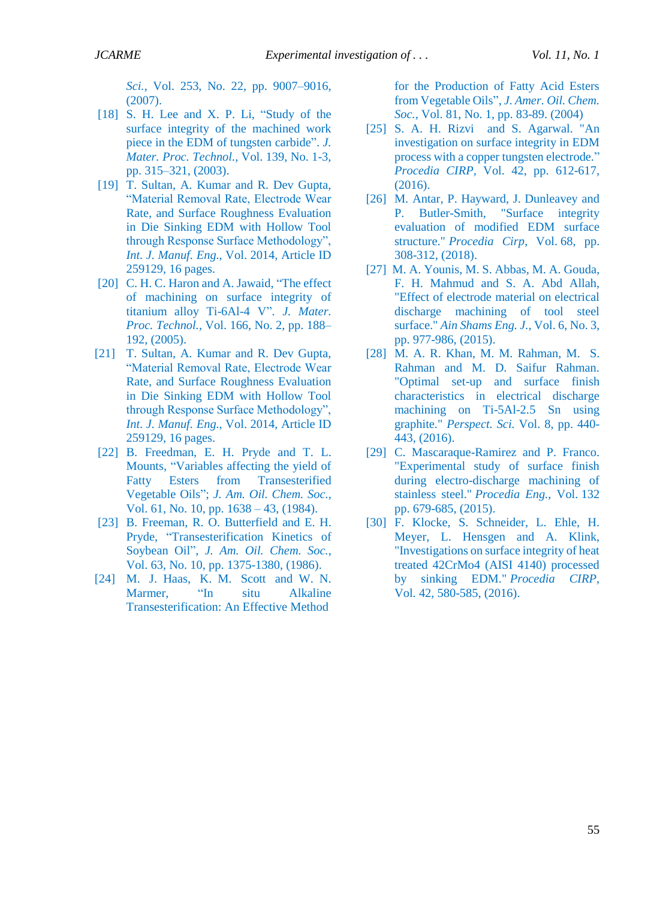*Sci.*, Vol. 253, No. 22, pp. 9007–9016, (2007).

- <span id="page-8-1"></span>[18] S. H. Lee and X. P. Li, "Study of the surface integrity of the machined work piece in the EDM of tungsten carbide". *J. Mater. Proc. Technol.*, Vol. 139, No. 1-3, pp. 315–321, (2003).
- [19] T. Sultan, A. Kumar and R. Dev Gupta, "Material Removal Rate, Electrode Wear Rate, and Surface Roughness Evaluation in Die Sinking EDM with Hollow Tool through Response Surface Methodology", *Int. J. Manuf. Eng.*, Vol. 2014, Article ID 259129, 16 pages.
- [20] C. H. C. Haron and A. Jawaid, "The effect of machining on surface integrity of titanium alloy Ti-6Al-4 V". *J. Mater. Proc. Technol.*, Vol. 166, No. 2, pp. 188– 192, (2005).
- [21] T. Sultan, A. Kumar and R. Dev Gupta, "Material Removal Rate, Electrode Wear Rate, and Surface Roughness Evaluation in Die Sinking EDM with Hollow Tool through Response Surface Methodology", *Int. J. Manuf. Eng.*, Vol. 2014, Article ID 259129, 16 pages.
- [22] B. Freedman, E. H. Pryde and T. L. Mounts, "Variables affecting the yield of Fatty Esters from Transesterified Vegetable Oils"; *J. Am. Oil. Chem. Soc.*, Vol. 61, No. 10, pp. 1638 – 43, (1984).
- [23] B. Freeman, R. O. Butterfield and E. H. Pryde, "Transesterification Kinetics of Soybean Oil", *J. Am. Oil. Chem. Soc.*, Vol. 63, No. 10, pp. 1375-1380, (1986).
- <span id="page-8-3"></span><span id="page-8-2"></span>[24] M. J. Haas, K. M. Scott and W. N. Marmer, "In situ Alkaline Transesterification: An Effective Method

for the Production of Fatty Acid Esters from Vegetable Oils", *J. Amer. Oil. Chem. Soc.,* Vol. 81, No. 1, pp. 83-89. (2004)

- [25] S. A. H. Rizvi and S. Agarwal. "An investigation on surface integrity in EDM process with a copper tungsten electrode." *Procedia CIRP,* Vol. 42, pp. 612-617, (2016).
- [26] M. Antar, P. Hayward, J. Dunleavey and P. Butler-Smith, "Surface integrity evaluation of modified EDM surface structure." *Procedia Cirp*, Vol. 68, pp. 308-312, (2018).
- [27] M. A. Younis, M. S. Abbas, M. A. Gouda, F. H. Mahmud and S. A. Abd Allah, "Effect of electrode material on electrical discharge machining of tool steel surface." *Ain Shams Eng. J.*, Vol. 6, No. 3, pp. 977-986, (2015).
- [28] M. A. R. Khan, M. M. Rahman, M. S. Rahman and M. D. Saifur Rahman. "Optimal set-up and surface finish characteristics in electrical discharge machining on Ti-5Al-2.5 Sn using graphite." *Perspect. Sci.* Vol. 8, pp. 440- 443, (2016).
- [29] C. Mascaraque-Ramirez and P. Franco. "Experimental study of surface finish during electro-discharge machining of stainless steel." *Procedia Eng.*, Vol. 132 pp. 679-685, (2015).
- <span id="page-8-4"></span><span id="page-8-0"></span>[30] F. Klocke, S. Schneider, L. Ehle, H. Meyer, L. Hensgen and A. Klink, "Investigations on surface integrity of heat treated 42CrMo4 (AISI 4140) processed by sinking EDM." *Procedia CIRP*, Vol. 42, 580-585, (2016).